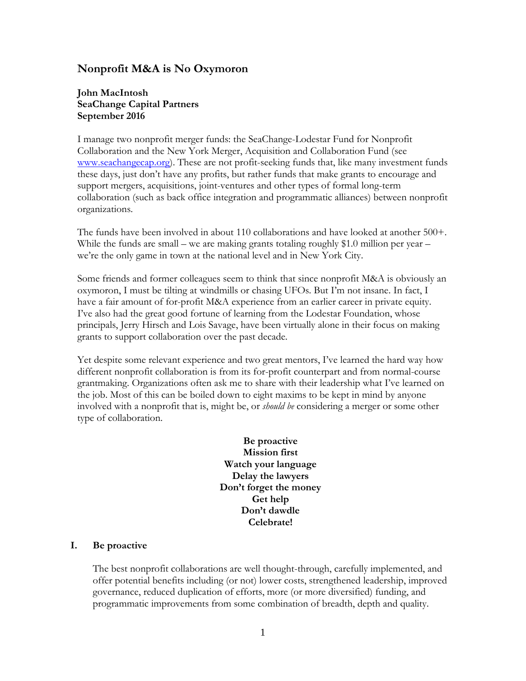# **Nonprofit M&A is No Oxymoron**

## **John MacIntosh SeaChange Capital Partners September 2016**

I manage two nonprofit merger funds: the SeaChange-Lodestar Fund for Nonprofit Collaboration and the New York Merger, Acquisition and Collaboration Fund (see [www.seachangecap.org\)](http://www.seachangecap.org/). These are not profit-seeking funds that, like many investment funds these days, just don't have any profits, but rather funds that make grants to encourage and support mergers, acquisitions, joint-ventures and other types of formal long-term collaboration (such as back office integration and programmatic alliances) between nonprofit organizations.

The funds have been involved in about 110 collaborations and have looked at another 500+. While the funds are small – we are making grants totaling roughly \$1.0 million per year – we're the only game in town at the national level and in New York City.

Some friends and former colleagues seem to think that since nonprofit M&A is obviously an oxymoron, I must be tilting at windmills or chasing UFOs. But I'm not insane. In fact, I have a fair amount of for-profit M&A experience from an earlier career in private equity. I've also had the great good fortune of learning from the Lodestar Foundation, whose principals, Jerry Hirsch and Lois Savage, have been virtually alone in their focus on making grants to support collaboration over the past decade.

Yet despite some relevant experience and two great mentors, I've learned the hard way how different nonprofit collaboration is from its for-profit counterpart and from normal-course grantmaking. Organizations often ask me to share with their leadership what I've learned on the job. Most of this can be boiled down to eight maxims to be kept in mind by anyone involved with a nonprofit that is, might be, or *should be* considering a merger or some other type of collaboration.

> **Be proactive Mission first Watch your language Delay the lawyers Don't forget the money Get help Don't dawdle Celebrate!**

#### **I. Be proactive**

The best nonprofit collaborations are well thought-through, carefully implemented, and offer potential benefits including (or not) lower costs, strengthened leadership, improved governance, reduced duplication of efforts, more (or more diversified) funding, and programmatic improvements from some combination of breadth, depth and quality.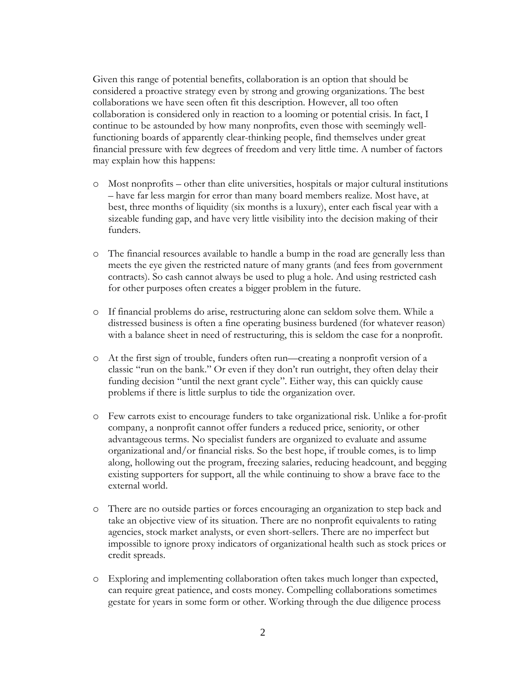Given this range of potential benefits, collaboration is an option that should be considered a proactive strategy even by strong and growing organizations. The best collaborations we have seen often fit this description. However, all too often collaboration is considered only in reaction to a looming or potential crisis. In fact, I continue to be astounded by how many nonprofits, even those with seemingly wellfunctioning boards of apparently clear-thinking people, find themselves under great financial pressure with few degrees of freedom and very little time. A number of factors may explain how this happens:

- o Most nonprofits other than elite universities, hospitals or major cultural institutions – have far less margin for error than many board members realize. Most have, at best, three months of liquidity (six months is a luxury), enter each fiscal year with a sizeable funding gap, and have very little visibility into the decision making of their funders.
- o The financial resources available to handle a bump in the road are generally less than meets the eye given the restricted nature of many grants (and fees from government contracts). So cash cannot always be used to plug a hole. And using restricted cash for other purposes often creates a bigger problem in the future.
- o If financial problems do arise, restructuring alone can seldom solve them. While a distressed business is often a fine operating business burdened (for whatever reason) with a balance sheet in need of restructuring, this is seldom the case for a nonprofit.
- o At the first sign of trouble, funders often run—creating a nonprofit version of a classic "run on the bank." Or even if they don't run outright, they often delay their funding decision "until the next grant cycle". Either way, this can quickly cause problems if there is little surplus to tide the organization over.
- o Few carrots exist to encourage funders to take organizational risk. Unlike a for-profit company, a nonprofit cannot offer funders a reduced price, seniority, or other advantageous terms. No specialist funders are organized to evaluate and assume organizational and/or financial risks. So the best hope, if trouble comes, is to limp along, hollowing out the program, freezing salaries, reducing headcount, and begging existing supporters for support, all the while continuing to show a brave face to the external world.
- o There are no outside parties or forces encouraging an organization to step back and take an objective view of its situation. There are no nonprofit equivalents to rating agencies, stock market analysts, or even short-sellers. There are no imperfect but impossible to ignore proxy indicators of organizational health such as stock prices or credit spreads.
- o Exploring and implementing collaboration often takes much longer than expected, can require great patience, and costs money. Compelling collaborations sometimes gestate for years in some form or other. Working through the due diligence process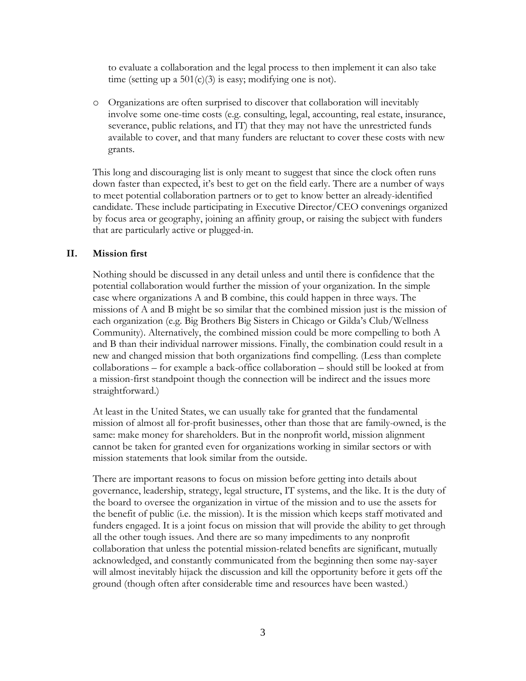to evaluate a collaboration and the legal process to then implement it can also take time (setting up a  $501(c)(3)$  is easy; modifying one is not).

o Organizations are often surprised to discover that collaboration will inevitably involve some one-time costs (e.g. consulting, legal, accounting, real estate, insurance, severance, public relations, and IT) that they may not have the unrestricted funds available to cover, and that many funders are reluctant to cover these costs with new grants.

This long and discouraging list is only meant to suggest that since the clock often runs down faster than expected, it's best to get on the field early. There are a number of ways to meet potential collaboration partners or to get to know better an already-identified candidate. These include participating in Executive Director/CEO convenings organized by focus area or geography, joining an affinity group, or raising the subject with funders that are particularly active or plugged-in.

#### **II. Mission first**

Nothing should be discussed in any detail unless and until there is confidence that the potential collaboration would further the mission of your organization. In the simple case where organizations A and B combine, this could happen in three ways. The missions of A and B might be so similar that the combined mission just is the mission of each organization (e.g. Big Brothers Big Sisters in Chicago or Gilda's Club/Wellness Community). Alternatively, the combined mission could be more compelling to both A and B than their individual narrower missions. Finally, the combination could result in a new and changed mission that both organizations find compelling. (Less than complete collaborations – for example a back-office collaboration – should still be looked at from a mission-first standpoint though the connection will be indirect and the issues more straightforward.)

At least in the United States, we can usually take for granted that the fundamental mission of almost all for-profit businesses, other than those that are family-owned, is the same: make money for shareholders. But in the nonprofit world, mission alignment cannot be taken for granted even for organizations working in similar sectors or with mission statements that look similar from the outside.

There are important reasons to focus on mission before getting into details about governance, leadership, strategy, legal structure, IT systems, and the like. It is the duty of the board to oversee the organization in virtue of the mission and to use the assets for the benefit of public (i.e. the mission). It is the mission which keeps staff motivated and funders engaged. It is a joint focus on mission that will provide the ability to get through all the other tough issues. And there are so many impediments to any nonprofit collaboration that unless the potential mission-related benefits are significant, mutually acknowledged, and constantly communicated from the beginning then some nay-sayer will almost inevitably hijack the discussion and kill the opportunity before it gets off the ground (though often after considerable time and resources have been wasted.)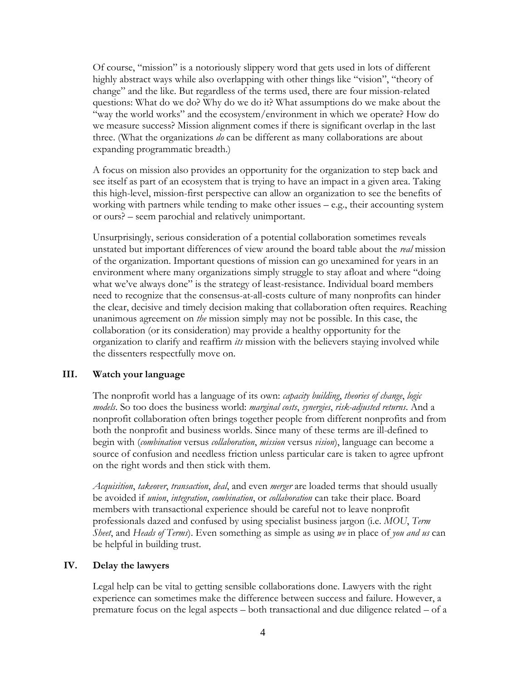Of course, "mission" is a notoriously slippery word that gets used in lots of different highly abstract ways while also overlapping with other things like "vision", "theory of change" and the like. But regardless of the terms used, there are four mission-related questions: What do we do? Why do we do it? What assumptions do we make about the "way the world works" and the ecosystem/environment in which we operate? How do we measure success? Mission alignment comes if there is significant overlap in the last three. (What the organizations *do* can be different as many collaborations are about expanding programmatic breadth.)

A focus on mission also provides an opportunity for the organization to step back and see itself as part of an ecosystem that is trying to have an impact in a given area. Taking this high-level, mission-first perspective can allow an organization to see the benefits of working with partners while tending to make other issues – e.g., their accounting system or ours? – seem parochial and relatively unimportant.

Unsurprisingly, serious consideration of a potential collaboration sometimes reveals unstated but important differences of view around the board table about the *real* mission of the organization. Important questions of mission can go unexamined for years in an environment where many organizations simply struggle to stay afloat and where "doing what we've always done" is the strategy of least-resistance. Individual board members need to recognize that the consensus-at-all-costs culture of many nonprofits can hinder the clear, decisive and timely decision making that collaboration often requires. Reaching unanimous agreement on *the* mission simply may not be possible. In this case, the collaboration (or its consideration) may provide a healthy opportunity for the organization to clarify and reaffirm *its* mission with the believers staying involved while the dissenters respectfully move on.

#### **III. Watch your language**

The nonprofit world has a language of its own: *capacity building*, *theories of change*, *logic models*. So too does the business world: *marginal costs*, *synergies*, *risk-adjusted returns*. And a nonprofit collaboration often brings together people from different nonprofits and from both the nonprofit and business worlds. Since many of these terms are ill-defined to begin with (*combination* versus *collaboration*, *mission* versus *vision*), language can become a source of confusion and needless friction unless particular care is taken to agree upfront on the right words and then stick with them.

*Acquisition*, *takeover*, *transaction*, *deal*, and even *merger* are loaded terms that should usually be avoided if *union*, *integration*, *combination*, or *collaboration* can take their place. Board members with transactional experience should be careful not to leave nonprofit professionals dazed and confused by using specialist business jargon (i.e. *MOU*, *Term Sheet*, and *Heads of Terms*). Even something as simple as using *we* in place of *you and us* can be helpful in building trust.

### **IV. Delay the lawyers**

Legal help can be vital to getting sensible collaborations done. Lawyers with the right experience can sometimes make the difference between success and failure. However, a premature focus on the legal aspects – both transactional and due diligence related – of a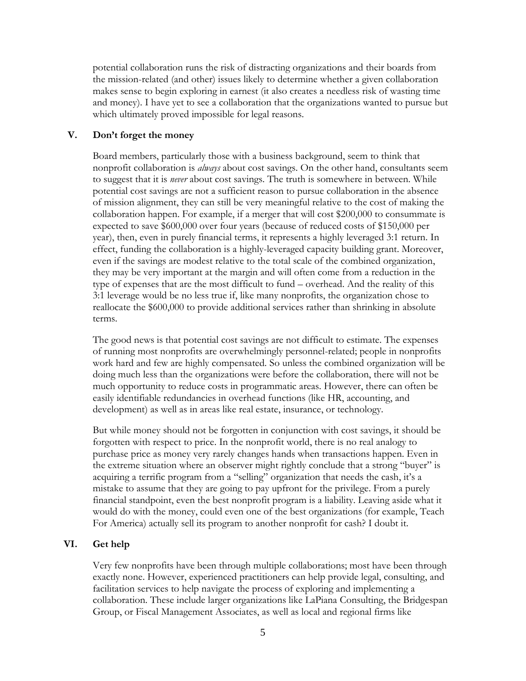potential collaboration runs the risk of distracting organizations and their boards from the mission-related (and other) issues likely to determine whether a given collaboration makes sense to begin exploring in earnest (it also creates a needless risk of wasting time and money). I have yet to see a collaboration that the organizations wanted to pursue but which ultimately proved impossible for legal reasons.

### **V. Don't forget the money**

Board members, particularly those with a business background, seem to think that nonprofit collaboration is *always* about cost savings. On the other hand, consultants seem to suggest that it is *never* about cost savings. The truth is somewhere in between. While potential cost savings are not a sufficient reason to pursue collaboration in the absence of mission alignment, they can still be very meaningful relative to the cost of making the collaboration happen. For example, if a merger that will cost \$200,000 to consummate is expected to save \$600,000 over four years (because of reduced costs of \$150,000 per year), then, even in purely financial terms, it represents a highly leveraged 3:1 return. In effect, funding the collaboration is a highly-leveraged capacity building grant. Moreover, even if the savings are modest relative to the total scale of the combined organization, they may be very important at the margin and will often come from a reduction in the type of expenses that are the most difficult to fund – overhead. And the reality of this 3:1 leverage would be no less true if, like many nonprofits, the organization chose to reallocate the \$600,000 to provide additional services rather than shrinking in absolute terms.

The good news is that potential cost savings are not difficult to estimate. The expenses of running most nonprofits are overwhelmingly personnel-related; people in nonprofits work hard and few are highly compensated. So unless the combined organization will be doing much less than the organizations were before the collaboration, there will not be much opportunity to reduce costs in programmatic areas. However, there can often be easily identifiable redundancies in overhead functions (like HR, accounting, and development) as well as in areas like real estate, insurance, or technology.

But while money should not be forgotten in conjunction with cost savings, it should be forgotten with respect to price. In the nonprofit world, there is no real analogy to purchase price as money very rarely changes hands when transactions happen. Even in the extreme situation where an observer might rightly conclude that a strong "buyer" is acquiring a terrific program from a "selling" organization that needs the cash, it's a mistake to assume that they are going to pay upfront for the privilege. From a purely financial standpoint, even the best nonprofit program is a liability. Leaving aside what it would do with the money, could even one of the best organizations (for example, Teach For America) actually sell its program to another nonprofit for cash? I doubt it.

### **VI. Get help**

Very few nonprofits have been through multiple collaborations; most have been through exactly none. However, experienced practitioners can help provide legal, consulting, and facilitation services to help navigate the process of exploring and implementing a collaboration. These include larger organizations like LaPiana Consulting, the Bridgespan Group, or Fiscal Management Associates, as well as local and regional firms like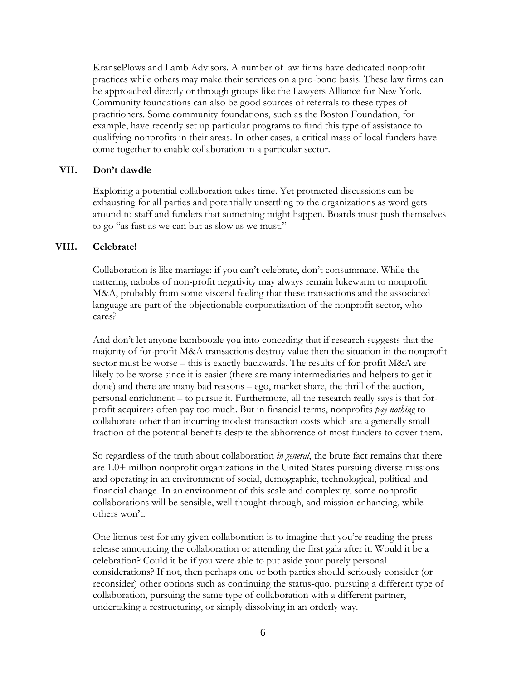KransePlows and Lamb Advisors. A number of law firms have dedicated nonprofit practices while others may make their services on a pro-bono basis. These law firms can be approached directly or through groups like the Lawyers Alliance for New York. Community foundations can also be good sources of referrals to these types of practitioners. Some community foundations, such as the Boston Foundation, for example, have recently set up particular programs to fund this type of assistance to qualifying nonprofits in their areas. In other cases, a critical mass of local funders have come together to enable collaboration in a particular sector.

#### **VII. Don't dawdle**

Exploring a potential collaboration takes time. Yet protracted discussions can be exhausting for all parties and potentially unsettling to the organizations as word gets around to staff and funders that something might happen. Boards must push themselves to go "as fast as we can but as slow as we must."

#### **VIII. Celebrate!**

Collaboration is like marriage: if you can't celebrate, don't consummate. While the nattering nabobs of non-profit negativity may always remain lukewarm to nonprofit M&A, probably from some visceral feeling that these transactions and the associated language are part of the objectionable corporatization of the nonprofit sector, who cares?

And don't let anyone bamboozle you into conceding that if research suggests that the majority of for-profit M&A transactions destroy value then the situation in the nonprofit sector must be worse – this is exactly backwards. The results of for-profit M&A are likely to be worse since it is easier (there are many intermediaries and helpers to get it done) and there are many bad reasons – ego, market share, the thrill of the auction, personal enrichment – to pursue it. Furthermore, all the research really says is that forprofit acquirers often pay too much. But in financial terms, nonprofits *pay nothing* to collaborate other than incurring modest transaction costs which are a generally small fraction of the potential benefits despite the abhorrence of most funders to cover them.

So regardless of the truth about collaboration *in general*, the brute fact remains that there are 1.0+ million nonprofit organizations in the United States pursuing diverse missions and operating in an environment of social, demographic, technological, political and financial change. In an environment of this scale and complexity, some nonprofit collaborations will be sensible, well thought-through, and mission enhancing, while others won't.

One litmus test for any given collaboration is to imagine that you're reading the press release announcing the collaboration or attending the first gala after it. Would it be a celebration? Could it be if you were able to put aside your purely personal considerations? If not, then perhaps one or both parties should seriously consider (or reconsider) other options such as continuing the status-quo, pursuing a different type of collaboration, pursuing the same type of collaboration with a different partner, undertaking a restructuring, or simply dissolving in an orderly way.